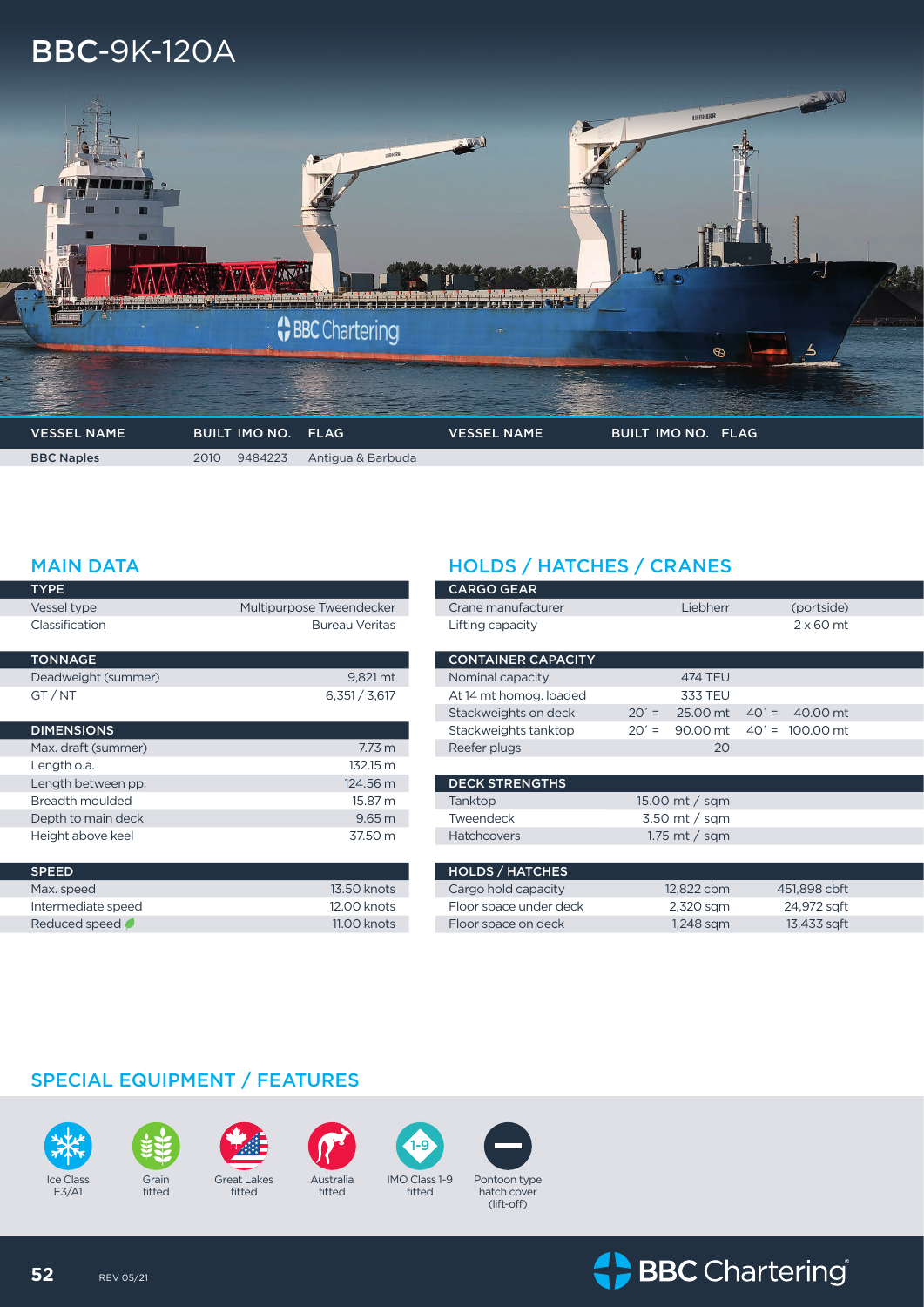# BBC-9K-120A



Г

F

| <b>TYPE</b>         |                          |
|---------------------|--------------------------|
| Vessel type         | Multipurpose Tweendecker |
| Classification      | <b>Bureau Veritas</b>    |
| <b>TONNAGE</b>      |                          |
| Deadweight (summer) | 9,821 mt                 |
| GT/NT               | 6,351 / 3,617            |
| <b>DIMENSIONS</b>   |                          |
| Max. draft (summer) | 7.73 <sub>m</sub>        |
| Length o.a.         | 132.15 m                 |
| Length between pp.  | 124.56 m                 |
| Breadth moulded     | 15.87 m                  |
| Depth to main deck  | 9.65 <sub>m</sub>        |
| Height above keel   | 37.50 m                  |
| <b>SPEED</b>        |                          |
| Max. speed          | 13.50 knots              |
| Intermediate speed  | 12.00 knots              |
| Reduced speed       | 11.00 knots              |

## MAIN DATA **HOLDS** / HATCHES / CRANES

| <b>CARGO GEAR</b>         |                     |                      |
|---------------------------|---------------------|----------------------|
| Crane manufacturer        | Liebherr            | (portside)           |
| Lifting capacity          |                     | $2 \times 60$ mt     |
|                           |                     |                      |
| <b>CONTAINER CAPACITY</b> |                     |                      |
| Nominal capacity          | <b>474 TEU</b>      |                      |
| At 14 mt homog. loaded    | <b>333 TEU</b>      |                      |
| Stackweights on deck      | 25.00 mt<br>$20' =$ | $40' =$<br>40.00 mt  |
| Stackweights tanktop      | $20' =$<br>90.00 mt | $40' =$<br>100.00 mt |
| Reefer plugs              | 20                  |                      |
|                           |                     |                      |
| <b>DECK STRENGTHS</b>     |                     |                      |
| Tanktop                   | 15.00 mt / sqm      |                      |
| Tweendeck                 | $3.50$ mt / sqm     |                      |
| <b>Hatchcovers</b>        | 1.75 mt / sqm       |                      |
|                           |                     |                      |
| <b>HOLDS / HATCHES</b>    |                     |                      |
| Cargo hold capacity       | 12,822 cbm          | 451,898 cbft         |
| Floor space under deck    | 2,320 sqm           | 24,972 sqft          |
| Floor space on deck       | 1.248 sam           | 13,433 sqft          |

### SPECIAL EQUIPMENT / FEATURES





fitted



fitted



fitted







(lift-off)